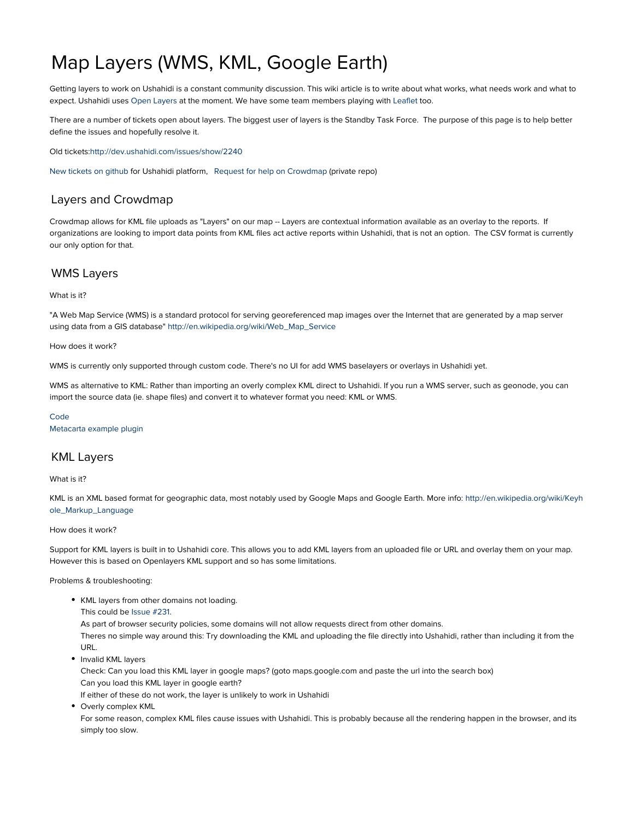# Map Layers (WMS, KML, Google Earth)

Getting layers to work on Ushahidi is a constant community discussion. This wiki article is to write about what works, what needs work and what to expect. Ushahidi uses [Open Layers](http://openlayers.org/) at the moment. We have some team members playing with [Leaflet](http://leaflet.cloudmade.com/) too.

There are a number of tickets open about layers. The biggest user of layers is the Standby Task Force. The purpose of this page is to help better define the issues and hopefully resolve it.

Old tickets[:http://dev.ushahidi.com/issues/show/2240](http://dev.ushahidi.com/issues/show/2240)

[New tickets on github](https://github.com/ushahidi/Ushahidi_Web/issues/search?q=kml) for Ushahidi platform, [Request for help on Crowdmap](https://github.com/ushahidi/Crowdmap/issues/141) (private repo)

# Layers and Crowdmap

Crowdmap allows for KML file uploads as "Layers" on our map -- Layers are contextual information available as an overlay to the reports. If organizations are looking to import data points from KML files act active reports within Ushahidi, that is not an option. The CSV format is currently our only option for that.

## WMS Layers

## What is it?

"A Web Map Service (WMS) is a standard protocol for serving georeferenced map images over the Internet that are generated by a map server using data from a GIS database" [http://en.wikipedia.org/wiki/Web\\_Map\\_Service](http://en.wikipedia.org/wiki/Web_Map_Service)

#### How does it work?

WMS is currently only supported through custom code. There's no UI for add WMS baselayers or overlays in Ushahidi yet.

WMS as alternative to KML: Rather than importing an overly complex KML direct to Ushahidi. If you run a WMS server, such as geonode, you can import the source data (ie. shape files) and convert it to whatever format you need: KML or WMS.

#### [Code](https://github.com/kigen/Ushahidi-plugin-wms)

[Metacarta example plugin](https://github.com/rjmackay/Ushahidi-plugin-metacarta)

## KML Layers

## What is it?

KML is an XML based format for geographic data, most notably used by Google Maps and Google Earth. More info: [http://en.wikipedia.org/wiki/Keyh](http://en.wikipedia.org/wiki/Keyhole_Markup_Language) [ole\\_Markup\\_Language](http://en.wikipedia.org/wiki/Keyhole_Markup_Language)

## How does it work?

Support for KML layers is built in to Ushahidi core. This allows you to add KML layers from an uploaded file or URL and overlay them on your map. However this is based on Openlayers KML support and so has some limitations.

Problems & troubleshooting:

- KML layers from other domains not loading.
	- This could be [Issue #231.](https://github.com/ushahidi/Ushahidi_Web/issues/231)

As part of browser security policies, some domains will not allow requests direct from other domains.

Theres no simple way around this: Try downloading the KML and uploading the file directly into Ushahidi, rather than including it from the URL.

• Invalid KML layers

Check: Can you load this KML layer in google maps? (goto maps.google.com and paste the url into the search box) Can you load this KML layer in google earth? If either of these do not work, the layer is unlikely to work in Ushahidi

Overly complex KML

For some reason, complex KML files cause issues with Ushahidi. This is probably because all the rendering happen in the browser, and its simply too slow.